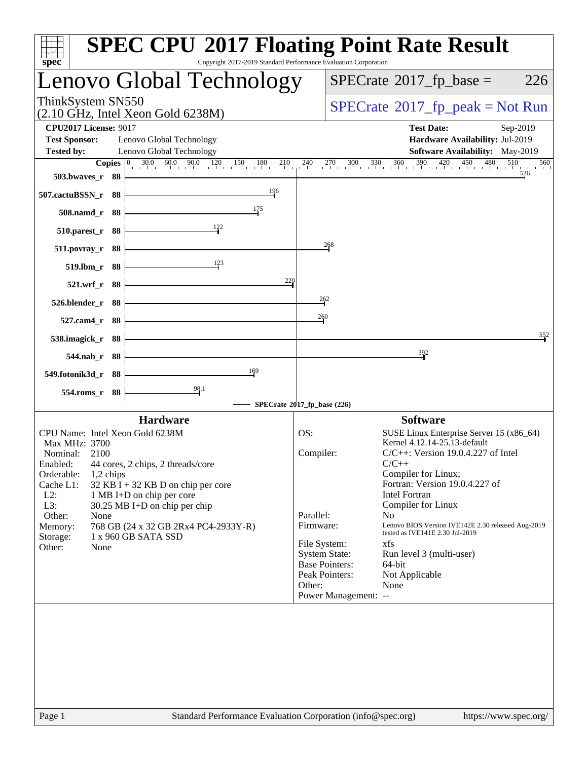| Copyright 2017-2019 Standard Performance Evaluation Corporation<br>spec <sup>®</sup>                                                                                                                                                                                                                                                                                                                                             | <b>SPEC CPU®2017 Floating Point Rate Result</b>                                                                                                                                                                                                                                                                                                                                                                                                                                                                                                                                                 |
|----------------------------------------------------------------------------------------------------------------------------------------------------------------------------------------------------------------------------------------------------------------------------------------------------------------------------------------------------------------------------------------------------------------------------------|-------------------------------------------------------------------------------------------------------------------------------------------------------------------------------------------------------------------------------------------------------------------------------------------------------------------------------------------------------------------------------------------------------------------------------------------------------------------------------------------------------------------------------------------------------------------------------------------------|
| Lenovo Global Technology                                                                                                                                                                                                                                                                                                                                                                                                         | $SPECrate^{\circledast}2017$ _fp_base =<br>226                                                                                                                                                                                                                                                                                                                                                                                                                                                                                                                                                  |
| ThinkSystem SN550<br>$(2.10 \text{ GHz}, \text{Intel Xeon Gold } 6238\text{M})$                                                                                                                                                                                                                                                                                                                                                  | $SPECrate^{\circ}2017$ [p_peak = Not Run                                                                                                                                                                                                                                                                                                                                                                                                                                                                                                                                                        |
| <b>CPU2017 License: 9017</b><br><b>Test Sponsor:</b><br>Lenovo Global Technology<br><b>Tested by:</b><br>Lenovo Global Technology<br>$\overline{\text{Copies}}\; 0\rangle$<br>503.bwaves_r 88<br>196<br>507.cactuBSSN_r 88                                                                                                                                                                                                       | <b>Test Date:</b><br>Sep-2019<br>Hardware Availability: Jul-2019<br><b>Software Availability:</b> May-2019<br>$30.0$ $60.0$ $90.0$ $120$ $150$ $180$ $210$ $240$ $270$ $300$ $330$ $360$ $390$ $420$ $450$ $480$<br>510<br>560<br>526                                                                                                                                                                                                                                                                                                                                                           |
| 175<br>508.namd_r 88                                                                                                                                                                                                                                                                                                                                                                                                             |                                                                                                                                                                                                                                                                                                                                                                                                                                                                                                                                                                                                 |
| $510.parest_r$ 88<br>511.povray_r 88                                                                                                                                                                                                                                                                                                                                                                                             | 268                                                                                                                                                                                                                                                                                                                                                                                                                                                                                                                                                                                             |
| 123<br>519.lbm_r 88<br>220<br>521.wrf_r 88<br>526.blender_r 88<br>527.cam4_r 88                                                                                                                                                                                                                                                                                                                                                  | 262<br>260                                                                                                                                                                                                                                                                                                                                                                                                                                                                                                                                                                                      |
| 538.imagick_r 88<br>544.nab_r 88                                                                                                                                                                                                                                                                                                                                                                                                 | 552<br>392                                                                                                                                                                                                                                                                                                                                                                                                                                                                                                                                                                                      |
| 169<br>549.fotonik3d_r 88<br>$\frac{98.1}{5}$<br>554.roms_r 88                                                                                                                                                                                                                                                                                                                                                                   |                                                                                                                                                                                                                                                                                                                                                                                                                                                                                                                                                                                                 |
|                                                                                                                                                                                                                                                                                                                                                                                                                                  | SPECrate®2017_fp_base (226)                                                                                                                                                                                                                                                                                                                                                                                                                                                                                                                                                                     |
| <b>Hardware</b><br>CPU Name: Intel Xeon Gold 6238M<br>Max MHz: 3700<br>Nominal:<br>2100<br>Enabled: 44 cores, 2 chips, 2 threads/core<br>Orderable:<br>$1,2$ chips<br>Cache L1:<br>$32$ KB I + 32 KB D on chip per core<br>$L2$ :<br>1 MB I+D on chip per core<br>L3:<br>30.25 MB I+D on chip per chip<br>Other:<br>None<br>768 GB (24 x 32 GB 2Rx4 PC4-2933Y-R)<br>Memory:<br>1 x 960 GB SATA SSD<br>Storage:<br>Other:<br>None | <b>Software</b><br>SUSE Linux Enterprise Server 15 (x86_64)<br>OS:<br>Kernel 4.12.14-25.13-default<br>Compiler:<br>$C/C++$ : Version 19.0.4.227 of Intel<br>$C/C++$<br>Compiler for Linux;<br>Fortran: Version 19.0.4.227 of<br><b>Intel Fortran</b><br>Compiler for Linux<br>Parallel:<br>No<br>Lenovo BIOS Version IVE142E 2.30 released Aug-2019<br>Firmware:<br>tested as IVE141E 2.30 Jul-2019<br>File System:<br>xfs<br><b>System State:</b><br>Run level 3 (multi-user)<br><b>Base Pointers:</b><br>64-bit<br>Peak Pointers:<br>Not Applicable<br>Other:<br>None<br>Power Management: -- |
| Standard Performance Evaluation Corporation (info@spec.org)<br>Page 1                                                                                                                                                                                                                                                                                                                                                            | https://www.spec.org/                                                                                                                                                                                                                                                                                                                                                                                                                                                                                                                                                                           |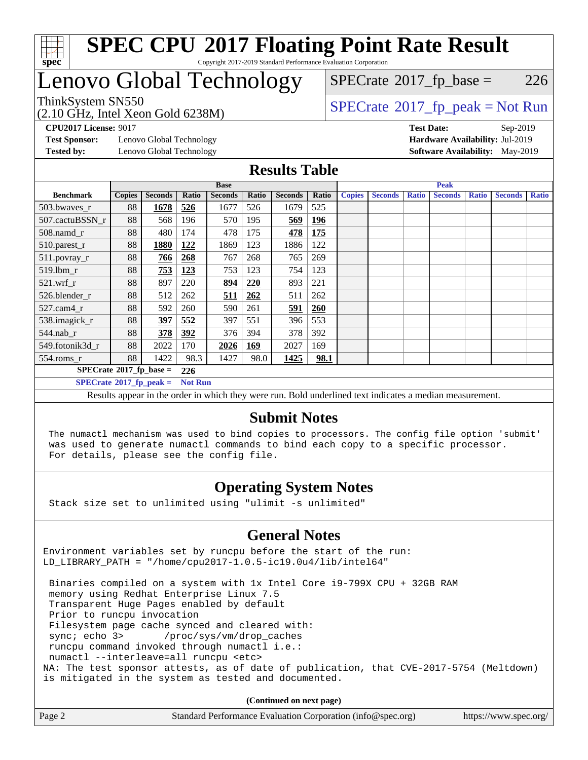

## Lenovo Global Technology

 $SPECTate$ <sup>®</sup>[2017\\_fp\\_base =](http://www.spec.org/auto/cpu2017/Docs/result-fields.html#SPECrate2017fpbase) 226

(2.10 GHz, Intel Xeon Gold 6238M) ThinkSystem SN550<br>  $(2.10 \text{ GHz. Intel Yoon Gold } 6238M)$  [SPECrate](http://www.spec.org/auto/cpu2017/Docs/result-fields.html#SPECrate2017fppeak)®[2017\\_fp\\_peak = N](http://www.spec.org/auto/cpu2017/Docs/result-fields.html#SPECrate2017fppeak)ot Run

**[Test Sponsor:](http://www.spec.org/auto/cpu2017/Docs/result-fields.html#TestSponsor)** Lenovo Global Technology **[Hardware Availability:](http://www.spec.org/auto/cpu2017/Docs/result-fields.html#HardwareAvailability)** Jul-2019

**[CPU2017 License:](http://www.spec.org/auto/cpu2017/Docs/result-fields.html#CPU2017License)** 9017 **[Test Date:](http://www.spec.org/auto/cpu2017/Docs/result-fields.html#TestDate)** Sep-2019 **[Tested by:](http://www.spec.org/auto/cpu2017/Docs/result-fields.html#Testedby)** Lenovo Global Technology **[Software Availability:](http://www.spec.org/auto/cpu2017/Docs/result-fields.html#SoftwareAvailability)** May-2019

### **[Results Table](http://www.spec.org/auto/cpu2017/Docs/result-fields.html#ResultsTable)**

|                                          | <b>Base</b>   |                |                |                | <b>Peak</b> |                |            |               |                |              |                |              |                |              |
|------------------------------------------|---------------|----------------|----------------|----------------|-------------|----------------|------------|---------------|----------------|--------------|----------------|--------------|----------------|--------------|
| <b>Benchmark</b>                         | <b>Copies</b> | <b>Seconds</b> | Ratio          | <b>Seconds</b> | Ratio       | <b>Seconds</b> | Ratio      | <b>Copies</b> | <b>Seconds</b> | <b>Ratio</b> | <b>Seconds</b> | <b>Ratio</b> | <b>Seconds</b> | <b>Ratio</b> |
| $503.bwaves_r$                           | 88            | 1678           | 526            | 1677           | 526         | 1679           | 525        |               |                |              |                |              |                |              |
| 507.cactuBSSN r                          | 88            | 568            | 196            | 570            | 195         | 569            | <u>196</u> |               |                |              |                |              |                |              |
| $508$ .namd $r$                          | 88            | 480            | 174            | 478            | 175         | 478            | 175        |               |                |              |                |              |                |              |
| 510.parest_r                             | 88            | 1880           | 122            | 1869           | 123         | 1886           | 122        |               |                |              |                |              |                |              |
| 511.povray_r                             | 88            | <u>766</u>     | 268            | 767            | 268         | 765            | 269        |               |                |              |                |              |                |              |
| 519.lbm r                                | 88            | 753            | <u>123</u>     | 753            | 123         | 754            | 123        |               |                |              |                |              |                |              |
| $521$ .wrf r                             | 88            | 897            | 220            | 894            | <u>220</u>  | 893            | 221        |               |                |              |                |              |                |              |
| 526.blender_r                            | 88            | 512            | 262            | 511            | <u>262</u>  | 511            | 262        |               |                |              |                |              |                |              |
| 527.cam4 r                               | 88            | 592            | 260            | 590            | 261         | 591            | 260        |               |                |              |                |              |                |              |
| 538.imagick_r                            | 88            | 397            | 552            | 397            | 551         | 396            | 553        |               |                |              |                |              |                |              |
| $544$ .nab r                             | 88            | 378            | 392            | 376            | 394         | 378            | 392        |               |                |              |                |              |                |              |
| 549.fotonik3d r                          | 88            | 2022           | 170            | 2026           | 169         | 2027           | 169        |               |                |              |                |              |                |              |
| $554$ .roms_r                            | 88            | 1422           | 98.3           | 1427           | 98.0        | 1425           | 98.1       |               |                |              |                |              |                |              |
| $SPECrate^{\circ}2017$ _fp_base =<br>226 |               |                |                |                |             |                |            |               |                |              |                |              |                |              |
| $SPECrate^{\circ}2017$ fp peak =         |               |                | <b>Not Run</b> |                |             |                |            |               |                |              |                |              |                |              |

Results appear in the [order in which they were run.](http://www.spec.org/auto/cpu2017/Docs/result-fields.html#RunOrder) Bold underlined text [indicates a median measurement.](http://www.spec.org/auto/cpu2017/Docs/result-fields.html#Median)

### **[Submit Notes](http://www.spec.org/auto/cpu2017/Docs/result-fields.html#SubmitNotes)**

 The numactl mechanism was used to bind copies to processors. The config file option 'submit' was used to generate numactl commands to bind each copy to a specific processor. For details, please see the config file.

### **[Operating System Notes](http://www.spec.org/auto/cpu2017/Docs/result-fields.html#OperatingSystemNotes)**

Stack size set to unlimited using "ulimit -s unlimited"

### **[General Notes](http://www.spec.org/auto/cpu2017/Docs/result-fields.html#GeneralNotes)**

Environment variables set by runcpu before the start of the run: LD\_LIBRARY\_PATH = "/home/cpu2017-1.0.5-ic19.0u4/lib/intel64"

 Binaries compiled on a system with 1x Intel Core i9-799X CPU + 32GB RAM memory using Redhat Enterprise Linux 7.5 Transparent Huge Pages enabled by default Prior to runcpu invocation Filesystem page cache synced and cleared with: sync; echo 3> /proc/sys/vm/drop\_caches runcpu command invoked through numactl i.e.: numactl --interleave=all runcpu <etc> NA: The test sponsor attests, as of date of publication, that CVE-2017-5754 (Meltdown) is mitigated in the system as tested and documented.

**(Continued on next page)**

| Page 2 | Standard Performance Evaluation Corporation (info@spec.org) | https://www.spec.org/ |
|--------|-------------------------------------------------------------|-----------------------|
|--------|-------------------------------------------------------------|-----------------------|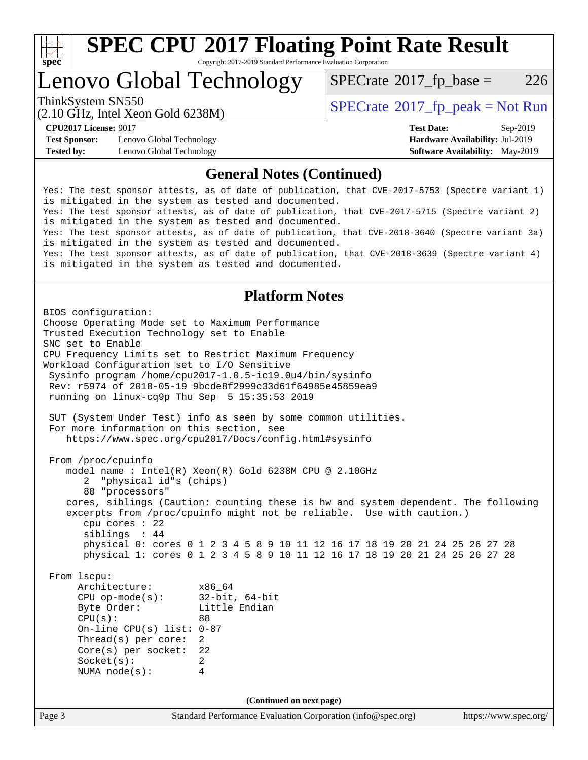

# **[SPEC CPU](http://www.spec.org/auto/cpu2017/Docs/result-fields.html#SPECCPU2017FloatingPointRateResult)[2017 Floating Point Rate Result](http://www.spec.org/auto/cpu2017/Docs/result-fields.html#SPECCPU2017FloatingPointRateResult)**

Copyright 2017-2019 Standard Performance Evaluation Corporation

## Lenovo Global Technology

 $SPECTate$ <sup>®</sup>[2017\\_fp\\_base =](http://www.spec.org/auto/cpu2017/Docs/result-fields.html#SPECrate2017fpbase) 226

(2.10 GHz, Intel Xeon Gold 6238M)

ThinkSystem SN550<br>  $SPECTR = Not Run 2017$  [SPECrate](http://www.spec.org/auto/cpu2017/Docs/result-fields.html#SPECrate2017fppeak)®[2017\\_fp\\_peak = N](http://www.spec.org/auto/cpu2017/Docs/result-fields.html#SPECrate2017fppeak)ot Run

**[Test Sponsor:](http://www.spec.org/auto/cpu2017/Docs/result-fields.html#TestSponsor)** Lenovo Global Technology **[Hardware Availability:](http://www.spec.org/auto/cpu2017/Docs/result-fields.html#HardwareAvailability)** Jul-2019 **[Tested by:](http://www.spec.org/auto/cpu2017/Docs/result-fields.html#Testedby)** Lenovo Global Technology **[Software Availability:](http://www.spec.org/auto/cpu2017/Docs/result-fields.html#SoftwareAvailability)** May-2019

**[CPU2017 License:](http://www.spec.org/auto/cpu2017/Docs/result-fields.html#CPU2017License)** 9017 **[Test Date:](http://www.spec.org/auto/cpu2017/Docs/result-fields.html#TestDate)** Sep-2019

### **[General Notes \(Continued\)](http://www.spec.org/auto/cpu2017/Docs/result-fields.html#GeneralNotes)**

Yes: The test sponsor attests, as of date of publication, that CVE-2017-5753 (Spectre variant 1) is mitigated in the system as tested and documented. Yes: The test sponsor attests, as of date of publication, that CVE-2017-5715 (Spectre variant 2) is mitigated in the system as tested and documented. Yes: The test sponsor attests, as of date of publication, that CVE-2018-3640 (Spectre variant 3a) is mitigated in the system as tested and documented. Yes: The test sponsor attests, as of date of publication, that CVE-2018-3639 (Spectre variant 4) is mitigated in the system as tested and documented.

### **[Platform Notes](http://www.spec.org/auto/cpu2017/Docs/result-fields.html#PlatformNotes)**

Page 3 Standard Performance Evaluation Corporation [\(info@spec.org\)](mailto:info@spec.org) <https://www.spec.org/> BIOS configuration: Choose Operating Mode set to Maximum Performance Trusted Execution Technology set to Enable SNC set to Enable CPU Frequency Limits set to Restrict Maximum Frequency Workload Configuration set to I/O Sensitive Sysinfo program /home/cpu2017-1.0.5-ic19.0u4/bin/sysinfo Rev: r5974 of 2018-05-19 9bcde8f2999c33d61f64985e45859ea9 running on linux-cq9p Thu Sep 5 15:35:53 2019 SUT (System Under Test) info as seen by some common utilities. For more information on this section, see <https://www.spec.org/cpu2017/Docs/config.html#sysinfo> From /proc/cpuinfo model name : Intel(R) Xeon(R) Gold 6238M CPU @ 2.10GHz 2 "physical id"s (chips) 88 "processors" cores, siblings (Caution: counting these is hw and system dependent. The following excerpts from /proc/cpuinfo might not be reliable. Use with caution.) cpu cores : 22 siblings : 44 physical 0: cores 0 1 2 3 4 5 8 9 10 11 12 16 17 18 19 20 21 24 25 26 27 28 physical 1: cores 0 1 2 3 4 5 8 9 10 11 12 16 17 18 19 20 21 24 25 26 27 28 From lscpu: Architecture: x86\_64 CPU op-mode(s): 32-bit, 64-bit Byte Order: Little Endian CPU(s): 88 On-line CPU(s) list: 0-87 Thread(s) per core: 2 Core(s) per socket: 22 Socket(s): 2 NUMA node(s): 4 **(Continued on next page)**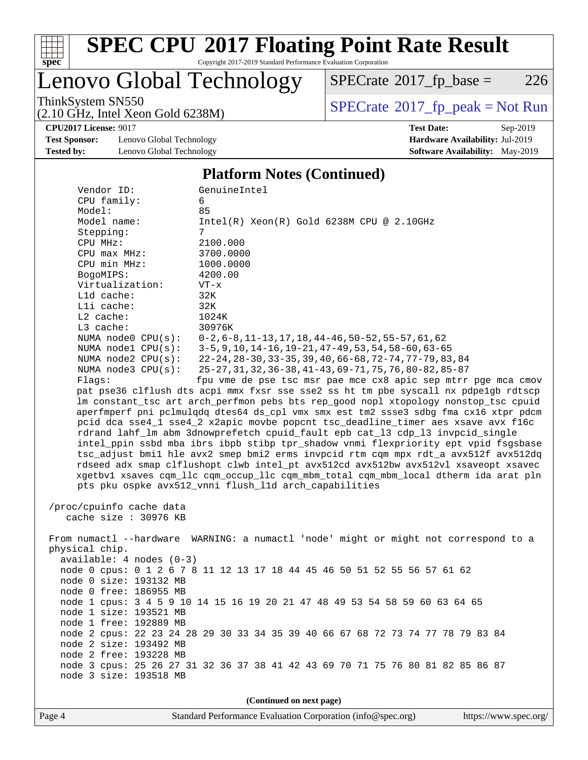

# **[SPEC CPU](http://www.spec.org/auto/cpu2017/Docs/result-fields.html#SPECCPU2017FloatingPointRateResult)[2017 Floating Point Rate Result](http://www.spec.org/auto/cpu2017/Docs/result-fields.html#SPECCPU2017FloatingPointRateResult)**

Copyright 2017-2019 Standard Performance Evaluation Corporation

## Lenovo Global Technology

 $SPECTate@2017_fp\_base = 226$ 

(2.10 GHz, Intel Xeon Gold 6238M)

ThinkSystem SN550<br>  $(2.10 \text{ GHz})$  Intel Xeon Gold 6238M)

**[CPU2017 License:](http://www.spec.org/auto/cpu2017/Docs/result-fields.html#CPU2017License)** 9017 **[Test Date:](http://www.spec.org/auto/cpu2017/Docs/result-fields.html#TestDate)** Sep-2019

**[Test Sponsor:](http://www.spec.org/auto/cpu2017/Docs/result-fields.html#TestSponsor)** Lenovo Global Technology **[Hardware Availability:](http://www.spec.org/auto/cpu2017/Docs/result-fields.html#HardwareAvailability)** Jul-2019 **[Tested by:](http://www.spec.org/auto/cpu2017/Docs/result-fields.html#Testedby)** Lenovo Global Technology **[Software Availability:](http://www.spec.org/auto/cpu2017/Docs/result-fields.html#SoftwareAvailability)** May-2019

#### **[Platform Notes \(Continued\)](http://www.spec.org/auto/cpu2017/Docs/result-fields.html#PlatformNotes)**

| Vendor ID:                                                                           | GenuineIntel                                                                         |  |  |  |  |  |
|--------------------------------------------------------------------------------------|--------------------------------------------------------------------------------------|--|--|--|--|--|
| CPU family:                                                                          | 6                                                                                    |  |  |  |  |  |
| Model:                                                                               | 85                                                                                   |  |  |  |  |  |
| Model name:                                                                          | Intel(R) Xeon(R) Gold 6238M CPU @ 2.10GHz                                            |  |  |  |  |  |
| Stepping:                                                                            | 7                                                                                    |  |  |  |  |  |
| CPU MHz:                                                                             | 2100.000                                                                             |  |  |  |  |  |
| CPU max MHz:                                                                         | 3700.0000                                                                            |  |  |  |  |  |
| CPU min MHz:                                                                         | 1000.0000                                                                            |  |  |  |  |  |
| BogoMIPS:                                                                            | 4200.00                                                                              |  |  |  |  |  |
| Virtualization:                                                                      | $VT - x$                                                                             |  |  |  |  |  |
| L1d cache:                                                                           | 32K                                                                                  |  |  |  |  |  |
| Lli cache:                                                                           | 32K                                                                                  |  |  |  |  |  |
| L2 cache:                                                                            | 1024K                                                                                |  |  |  |  |  |
| L3 cache:                                                                            | 30976K                                                                               |  |  |  |  |  |
| NUMA $node0$ $CPU(s):$                                                               | $0-2, 6-8, 11-13, 17, 18, 44-46, 50-52, 55-57, 61, 62$                               |  |  |  |  |  |
| NUMA nodel CPU(s):                                                                   | $3-5, 9, 10, 14-16, 19-21, 47-49, 53, 54, 58-60, 63-65$                              |  |  |  |  |  |
| NUMA $node2$ $CPU(s):$                                                               | 22-24, 28-30, 33-35, 39, 40, 66-68, 72-74, 77-79, 83, 84                             |  |  |  |  |  |
| NUMA $node3$ CPU $(s)$ :                                                             | 25-27, 31, 32, 36-38, 41-43, 69-71, 75, 76, 80-82, 85-87                             |  |  |  |  |  |
| Flags:                                                                               | fpu vme de pse tsc msr pae mce cx8 apic sep mtrr pge mca cmov                        |  |  |  |  |  |
|                                                                                      | pat pse36 clflush dts acpi mmx fxsr sse sse2 ss ht tm pbe syscall nx pdpelgb rdtscp  |  |  |  |  |  |
|                                                                                      | lm constant_tsc art arch_perfmon pebs bts rep_good nopl xtopology nonstop_tsc cpuid  |  |  |  |  |  |
|                                                                                      | aperfmperf pni pclmulqdq dtes64 ds_cpl vmx smx est tm2 ssse3 sdbg fma cx16 xtpr pdcm |  |  |  |  |  |
|                                                                                      | pcid dca sse4_1 sse4_2 x2apic movbe popcnt tsc_deadline_timer aes xsave avx f16c     |  |  |  |  |  |
|                                                                                      | rdrand lahf_lm abm 3dnowprefetch cpuid_fault epb cat_13 cdp_13 invpcid_single        |  |  |  |  |  |
|                                                                                      | intel_ppin ssbd mba ibrs ibpb stibp tpr_shadow vnmi flexpriority ept vpid fsgsbase   |  |  |  |  |  |
|                                                                                      | tsc_adjust bmil hle avx2 smep bmi2 erms invpcid rtm cqm mpx rdt_a avx512f avx512dq   |  |  |  |  |  |
| rdseed adx smap clflushopt clwb intel_pt avx512cd avx512bw avx512vl xsaveopt xsavec  |                                                                                      |  |  |  |  |  |
| xgetbvl xsaves cqm_llc cqm_occup_llc cqm_mbm_total cqm_mbm_local dtherm ida arat pln |                                                                                      |  |  |  |  |  |
| pts pku ospke avx512_vnni flush_lld arch_capabilities                                |                                                                                      |  |  |  |  |  |
|                                                                                      |                                                                                      |  |  |  |  |  |
| /proc/cpuinfo cache data                                                             |                                                                                      |  |  |  |  |  |
| cache size : 30976 KB                                                                |                                                                                      |  |  |  |  |  |
|                                                                                      |                                                                                      |  |  |  |  |  |
| From numactl --hardware WARNING: a numactl 'node' might or might not correspond to a |                                                                                      |  |  |  |  |  |
| physical chip.                                                                       |                                                                                      |  |  |  |  |  |
| $available: 4 nodes (0-3)$                                                           |                                                                                      |  |  |  |  |  |
|                                                                                      | node 0 cpus: 0 1 2 6 7 8 11 12 13 17 18 44 45 46 50 51 52 55 56 57 61 62             |  |  |  |  |  |
| node 0 size: 193132 MB                                                               |                                                                                      |  |  |  |  |  |
| node 0 free: 186955 MB                                                               |                                                                                      |  |  |  |  |  |
| node 1 cpus: 3 4 5 9 10 14 15 16 19 20 21 47 48 49 53 54 58 59 60 63 64 65           |                                                                                      |  |  |  |  |  |
| node 1 size: 193521 MB                                                               |                                                                                      |  |  |  |  |  |
| node 1 free: 192889 MB                                                               |                                                                                      |  |  |  |  |  |
| node 2 cpus: 22 23 24 28 29 30 33 34 35 39 40 66 67 68 72 73 74 77 78 79 83 84       |                                                                                      |  |  |  |  |  |
| node 2 size: 193492 MB                                                               |                                                                                      |  |  |  |  |  |
| node 2 free: 193228 MB                                                               |                                                                                      |  |  |  |  |  |
|                                                                                      | node 3 cpus: 25 26 27 31 32 36 37 38 41 42 43 69 70 71 75 76 80 81 82 85 86 87       |  |  |  |  |  |
| node 3 size: 193518 MB                                                               |                                                                                      |  |  |  |  |  |
|                                                                                      |                                                                                      |  |  |  |  |  |
| (Continued on next page)                                                             |                                                                                      |  |  |  |  |  |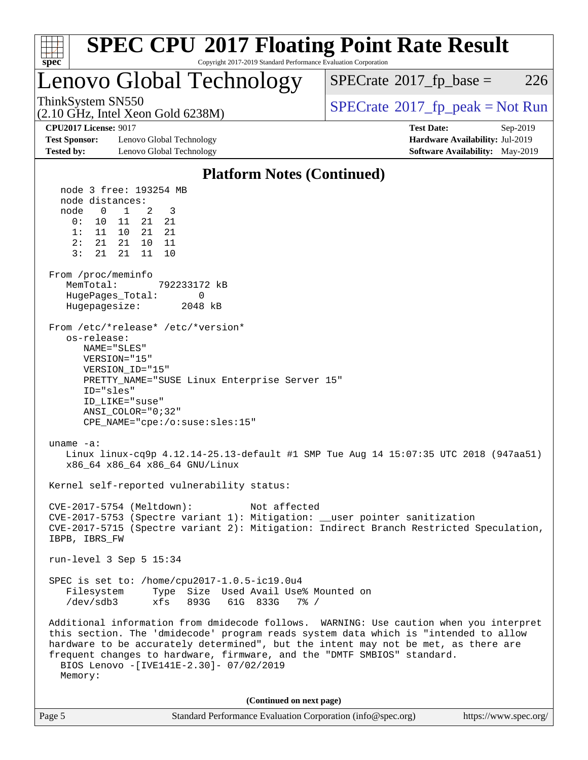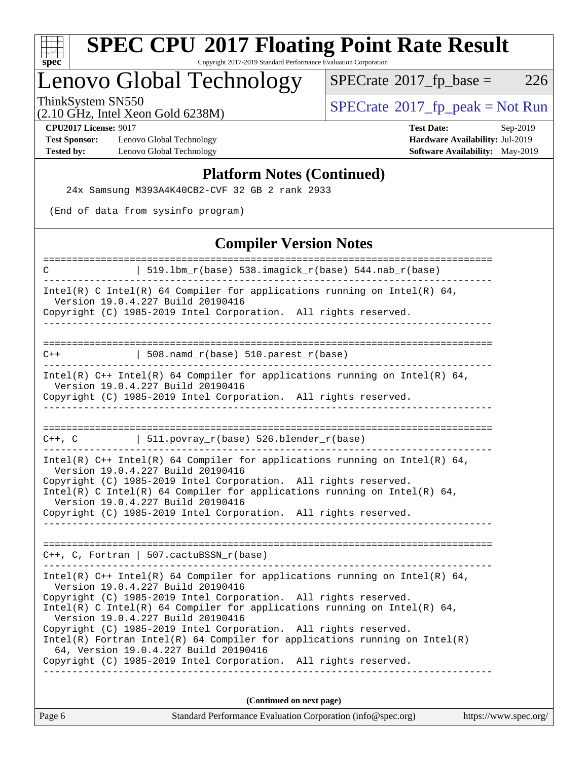

# **[SPEC CPU](http://www.spec.org/auto/cpu2017/Docs/result-fields.html#SPECCPU2017FloatingPointRateResult)[2017 Floating Point Rate Result](http://www.spec.org/auto/cpu2017/Docs/result-fields.html#SPECCPU2017FloatingPointRateResult)**

Copyright 2017-2019 Standard Performance Evaluation Corporation

## Lenovo Global Technology

 $SPECTate@2017_fp\_base = 226$ 

(2.10 GHz, Intel Xeon Gold 6238M)

ThinkSystem SN550<br>  $(2.10 \text{ GHz})$  Intel Xeon Gold 6238M)

**[Test Sponsor:](http://www.spec.org/auto/cpu2017/Docs/result-fields.html#TestSponsor)** Lenovo Global Technology **[Hardware Availability:](http://www.spec.org/auto/cpu2017/Docs/result-fields.html#HardwareAvailability)** Jul-2019 **[Tested by:](http://www.spec.org/auto/cpu2017/Docs/result-fields.html#Testedby)** Lenovo Global Technology **[Software Availability:](http://www.spec.org/auto/cpu2017/Docs/result-fields.html#SoftwareAvailability)** May-2019

**[CPU2017 License:](http://www.spec.org/auto/cpu2017/Docs/result-fields.html#CPU2017License)** 9017 **[Test Date:](http://www.spec.org/auto/cpu2017/Docs/result-fields.html#TestDate)** Sep-2019

### **[Platform Notes \(Continued\)](http://www.spec.org/auto/cpu2017/Docs/result-fields.html#PlatformNotes)**

24x Samsung M393A4K40CB2-CVF 32 GB 2 rank 2933

(End of data from sysinfo program)

### **[Compiler Version Notes](http://www.spec.org/auto/cpu2017/Docs/result-fields.html#CompilerVersionNotes)**

| Standard Performance Evaluation Corporation (info@spec.org)<br>https://www.spec.org/<br>Page 6                                                  |
|-------------------------------------------------------------------------------------------------------------------------------------------------|
| (Continued on next page)                                                                                                                        |
|                                                                                                                                                 |
| Copyright (C) 1985-2019 Intel Corporation. All rights reserved.                                                                                 |
| 64, Version 19.0.4.227 Build 20190416                                                                                                           |
| Copyright (C) 1985-2019 Intel Corporation. All rights reserved.<br>$Intel(R)$ Fortran Intel(R) 64 Compiler for applications running on Intel(R) |
| Version 19.0.4.227 Build 20190416                                                                                                               |
| Intel(R) C Intel(R) 64 Compiler for applications running on Intel(R) 64,                                                                        |
| Version 19.0.4.227 Build 20190416<br>Copyright (C) 1985-2019 Intel Corporation. All rights reserved.                                            |
| Intel(R) $C++$ Intel(R) 64 Compiler for applications running on Intel(R) 64,                                                                    |
|                                                                                                                                                 |
| $C++$ , C, Fortran   507.cactuBSSN_r(base)                                                                                                      |
|                                                                                                                                                 |
| Version 19.0.4.227 Build 20190416<br>Copyright (C) 1985-2019 Intel Corporation. All rights reserved.                                            |
| Intel(R) C Intel(R) 64 Compiler for applications running on Intel(R) 64,                                                                        |
| Version 19.0.4.227 Build 20190416<br>Copyright (C) 1985-2019 Intel Corporation. All rights reserved.                                            |
| Intel(R) $C++$ Intel(R) 64 Compiler for applications running on Intel(R) 64,                                                                    |
| C++, C $  511.povray_r(base) 526.blender_r(base)$                                                                                               |
|                                                                                                                                                 |
| Copyright (C) 1985-2019 Intel Corporation. All rights reserved.                                                                                 |
| Intel(R) $C++$ Intel(R) 64 Compiler for applications running on Intel(R) 64,<br>Version 19.0.4.227 Build 20190416                               |
| $508.namd_r(base) 510.parest_r(base)$<br>$C++$                                                                                                  |
|                                                                                                                                                 |
|                                                                                                                                                 |
| Version 19.0.4.227 Build 20190416<br>Copyright (C) 1985-2019 Intel Corporation. All rights reserved.                                            |
| Intel(R) C Intel(R) 64 Compiler for applications running on Intel(R) 64,                                                                        |
| $519.1bm_r(base) 538.imagick_r(base) 544. nab_r(base)$<br>C                                                                                     |
|                                                                                                                                                 |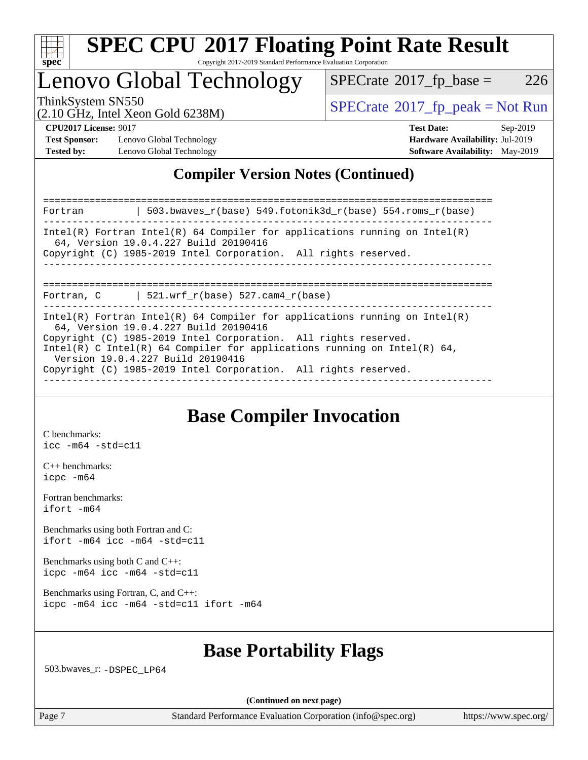

## Lenovo Global Technology

 $SPECTate$ <sup>®</sup>[2017\\_fp\\_base =](http://www.spec.org/auto/cpu2017/Docs/result-fields.html#SPECrate2017fpbase) 226

(2.10 GHz, Intel Xeon Gold 6238M)

ThinkSystem SN550<br>  $\begin{array}{c}\n\text{SPECrate} \textcirc 2017\_fp\_peak = Not Run \\
\text{SPECrate} \textcirc 2017\_fp\_peak = Not Run\n\end{array}$  $\begin{array}{c}\n\text{SPECrate} \textcirc 2017\_fp\_peak = Not Run \\
\text{SPECrate} \textcirc 2017\_fp\_peak = Not Run\n\end{array}$  $\begin{array}{c}\n\text{SPECrate} \textcirc 2017\_fp\_peak = Not Run \\
\text{SPECrate} \textcirc 2017\_fp\_peak = Not Run\n\end{array}$ 

**[Test Sponsor:](http://www.spec.org/auto/cpu2017/Docs/result-fields.html#TestSponsor)** Lenovo Global Technology **[Hardware Availability:](http://www.spec.org/auto/cpu2017/Docs/result-fields.html#HardwareAvailability)** Jul-2019 **[Tested by:](http://www.spec.org/auto/cpu2017/Docs/result-fields.html#Testedby)** Lenovo Global Technology **[Software Availability:](http://www.spec.org/auto/cpu2017/Docs/result-fields.html#SoftwareAvailability)** May-2019

**[CPU2017 License:](http://www.spec.org/auto/cpu2017/Docs/result-fields.html#CPU2017License)** 9017 **[Test Date:](http://www.spec.org/auto/cpu2017/Docs/result-fields.html#TestDate)** Sep-2019

### **[Compiler Version Notes \(Continued\)](http://www.spec.org/auto/cpu2017/Docs/result-fields.html#CompilerVersionNotes)**

| 503.bwaves $r(base)$ 549.fotonik3d $r(base)$ 554.roms $r(base)$<br>Fortran                                                                                                                                                                                         |  |  |  |  |  |  |
|--------------------------------------------------------------------------------------------------------------------------------------------------------------------------------------------------------------------------------------------------------------------|--|--|--|--|--|--|
| Intel(R) Fortran Intel(R) 64 Compiler for applications running on Intel(R)<br>64, Version 19.0.4.227 Build 20190416<br>Copyright (C) 1985-2019 Intel Corporation. All rights reserved.                                                                             |  |  |  |  |  |  |
|                                                                                                                                                                                                                                                                    |  |  |  |  |  |  |
| Fortran, $C = \vert 521. \text{wrf } r(\text{base}) 527. \text{cam4 } r(\text{base})$                                                                                                                                                                              |  |  |  |  |  |  |
| Intel(R) Fortran Intel(R) 64 Compiler for applications running on Intel(R)<br>64, Version 19.0.4.227 Build 20190416<br>Copyright (C) 1985-2019 Intel Corporation. All rights reserved.<br>Intel(R) C Intel(R) 64 Compiler for applications running on Intel(R) 64, |  |  |  |  |  |  |
| Version 19.0.4.227 Build 20190416                                                                                                                                                                                                                                  |  |  |  |  |  |  |
| Copyright (C) 1985-2019 Intel Corporation. All rights reserved.                                                                                                                                                                                                    |  |  |  |  |  |  |

### **[Base Compiler Invocation](http://www.spec.org/auto/cpu2017/Docs/result-fields.html#BaseCompilerInvocation)**

[C benchmarks](http://www.spec.org/auto/cpu2017/Docs/result-fields.html#Cbenchmarks): [icc -m64 -std=c11](http://www.spec.org/cpu2017/results/res2019q4/cpu2017-20190917-18271.flags.html#user_CCbase_intel_icc_64bit_c11_33ee0cdaae7deeeab2a9725423ba97205ce30f63b9926c2519791662299b76a0318f32ddfffdc46587804de3178b4f9328c46fa7c2b0cd779d7a61945c91cd35)

[C++ benchmarks:](http://www.spec.org/auto/cpu2017/Docs/result-fields.html#CXXbenchmarks) [icpc -m64](http://www.spec.org/cpu2017/results/res2019q4/cpu2017-20190917-18271.flags.html#user_CXXbase_intel_icpc_64bit_4ecb2543ae3f1412ef961e0650ca070fec7b7afdcd6ed48761b84423119d1bf6bdf5cad15b44d48e7256388bc77273b966e5eb805aefd121eb22e9299b2ec9d9)

[Fortran benchmarks](http://www.spec.org/auto/cpu2017/Docs/result-fields.html#Fortranbenchmarks): [ifort -m64](http://www.spec.org/cpu2017/results/res2019q4/cpu2017-20190917-18271.flags.html#user_FCbase_intel_ifort_64bit_24f2bb282fbaeffd6157abe4f878425411749daecae9a33200eee2bee2fe76f3b89351d69a8130dd5949958ce389cf37ff59a95e7a40d588e8d3a57e0c3fd751)

[Benchmarks using both Fortran and C](http://www.spec.org/auto/cpu2017/Docs/result-fields.html#BenchmarksusingbothFortranandC): [ifort -m64](http://www.spec.org/cpu2017/results/res2019q4/cpu2017-20190917-18271.flags.html#user_CC_FCbase_intel_ifort_64bit_24f2bb282fbaeffd6157abe4f878425411749daecae9a33200eee2bee2fe76f3b89351d69a8130dd5949958ce389cf37ff59a95e7a40d588e8d3a57e0c3fd751) [icc -m64 -std=c11](http://www.spec.org/cpu2017/results/res2019q4/cpu2017-20190917-18271.flags.html#user_CC_FCbase_intel_icc_64bit_c11_33ee0cdaae7deeeab2a9725423ba97205ce30f63b9926c2519791662299b76a0318f32ddfffdc46587804de3178b4f9328c46fa7c2b0cd779d7a61945c91cd35)

[Benchmarks using both C and C++](http://www.spec.org/auto/cpu2017/Docs/result-fields.html#BenchmarksusingbothCandCXX): [icpc -m64](http://www.spec.org/cpu2017/results/res2019q4/cpu2017-20190917-18271.flags.html#user_CC_CXXbase_intel_icpc_64bit_4ecb2543ae3f1412ef961e0650ca070fec7b7afdcd6ed48761b84423119d1bf6bdf5cad15b44d48e7256388bc77273b966e5eb805aefd121eb22e9299b2ec9d9) [icc -m64 -std=c11](http://www.spec.org/cpu2017/results/res2019q4/cpu2017-20190917-18271.flags.html#user_CC_CXXbase_intel_icc_64bit_c11_33ee0cdaae7deeeab2a9725423ba97205ce30f63b9926c2519791662299b76a0318f32ddfffdc46587804de3178b4f9328c46fa7c2b0cd779d7a61945c91cd35)

[Benchmarks using Fortran, C, and C++:](http://www.spec.org/auto/cpu2017/Docs/result-fields.html#BenchmarksusingFortranCandCXX) [icpc -m64](http://www.spec.org/cpu2017/results/res2019q4/cpu2017-20190917-18271.flags.html#user_CC_CXX_FCbase_intel_icpc_64bit_4ecb2543ae3f1412ef961e0650ca070fec7b7afdcd6ed48761b84423119d1bf6bdf5cad15b44d48e7256388bc77273b966e5eb805aefd121eb22e9299b2ec9d9) [icc -m64 -std=c11](http://www.spec.org/cpu2017/results/res2019q4/cpu2017-20190917-18271.flags.html#user_CC_CXX_FCbase_intel_icc_64bit_c11_33ee0cdaae7deeeab2a9725423ba97205ce30f63b9926c2519791662299b76a0318f32ddfffdc46587804de3178b4f9328c46fa7c2b0cd779d7a61945c91cd35) [ifort -m64](http://www.spec.org/cpu2017/results/res2019q4/cpu2017-20190917-18271.flags.html#user_CC_CXX_FCbase_intel_ifort_64bit_24f2bb282fbaeffd6157abe4f878425411749daecae9a33200eee2bee2fe76f3b89351d69a8130dd5949958ce389cf37ff59a95e7a40d588e8d3a57e0c3fd751)

### **[Base Portability Flags](http://www.spec.org/auto/cpu2017/Docs/result-fields.html#BasePortabilityFlags)**

503.bwaves\_r: [-DSPEC\\_LP64](http://www.spec.org/cpu2017/results/res2019q4/cpu2017-20190917-18271.flags.html#suite_basePORTABILITY503_bwaves_r_DSPEC_LP64)

**(Continued on next page)**

Page 7 Standard Performance Evaluation Corporation [\(info@spec.org\)](mailto:info@spec.org) <https://www.spec.org/>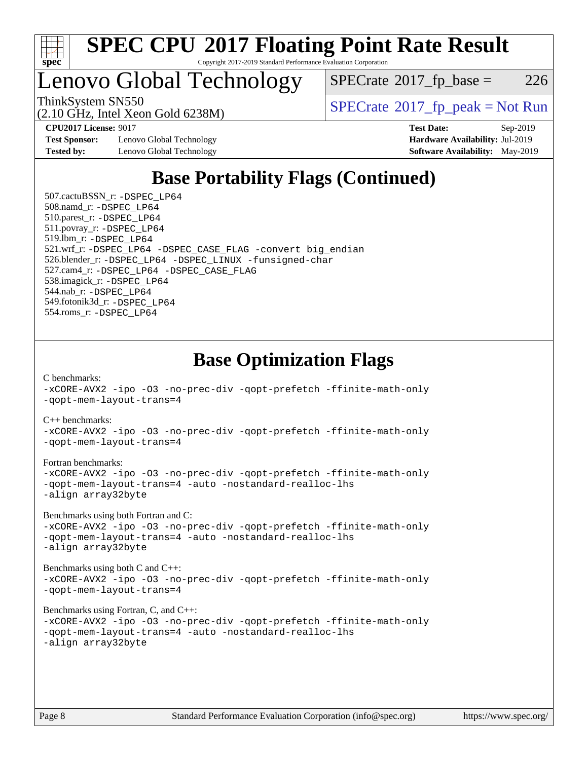

Lenovo Global Technology

 $SPECTate$ <sup>®</sup>[2017\\_fp\\_base =](http://www.spec.org/auto/cpu2017/Docs/result-fields.html#SPECrate2017fpbase) 226

(2.10 GHz, Intel Xeon Gold 6238M)

ThinkSystem SN550<br>  $SPECTR_{10}$  [SPECrate](http://www.spec.org/auto/cpu2017/Docs/result-fields.html#SPECrate2017fppeak)®[2017\\_fp\\_peak = N](http://www.spec.org/auto/cpu2017/Docs/result-fields.html#SPECrate2017fppeak)ot Run

**[Test Sponsor:](http://www.spec.org/auto/cpu2017/Docs/result-fields.html#TestSponsor)** Lenovo Global Technology **[Hardware Availability:](http://www.spec.org/auto/cpu2017/Docs/result-fields.html#HardwareAvailability)** Jul-2019 **[Tested by:](http://www.spec.org/auto/cpu2017/Docs/result-fields.html#Testedby)** Lenovo Global Technology **[Software Availability:](http://www.spec.org/auto/cpu2017/Docs/result-fields.html#SoftwareAvailability)** May-2019

**[CPU2017 License:](http://www.spec.org/auto/cpu2017/Docs/result-fields.html#CPU2017License)** 9017 **[Test Date:](http://www.spec.org/auto/cpu2017/Docs/result-fields.html#TestDate)** Sep-2019

### **[Base Portability Flags \(Continued\)](http://www.spec.org/auto/cpu2017/Docs/result-fields.html#BasePortabilityFlags)**

 507.cactuBSSN\_r: [-DSPEC\\_LP64](http://www.spec.org/cpu2017/results/res2019q4/cpu2017-20190917-18271.flags.html#suite_basePORTABILITY507_cactuBSSN_r_DSPEC_LP64) 508.namd\_r: [-DSPEC\\_LP64](http://www.spec.org/cpu2017/results/res2019q4/cpu2017-20190917-18271.flags.html#suite_basePORTABILITY508_namd_r_DSPEC_LP64) 510.parest\_r: [-DSPEC\\_LP64](http://www.spec.org/cpu2017/results/res2019q4/cpu2017-20190917-18271.flags.html#suite_basePORTABILITY510_parest_r_DSPEC_LP64) 511.povray\_r: [-DSPEC\\_LP64](http://www.spec.org/cpu2017/results/res2019q4/cpu2017-20190917-18271.flags.html#suite_basePORTABILITY511_povray_r_DSPEC_LP64) 519.lbm\_r: [-DSPEC\\_LP64](http://www.spec.org/cpu2017/results/res2019q4/cpu2017-20190917-18271.flags.html#suite_basePORTABILITY519_lbm_r_DSPEC_LP64) 521.wrf\_r: [-DSPEC\\_LP64](http://www.spec.org/cpu2017/results/res2019q4/cpu2017-20190917-18271.flags.html#suite_basePORTABILITY521_wrf_r_DSPEC_LP64) [-DSPEC\\_CASE\\_FLAG](http://www.spec.org/cpu2017/results/res2019q4/cpu2017-20190917-18271.flags.html#b521.wrf_r_baseCPORTABILITY_DSPEC_CASE_FLAG) [-convert big\\_endian](http://www.spec.org/cpu2017/results/res2019q4/cpu2017-20190917-18271.flags.html#user_baseFPORTABILITY521_wrf_r_convert_big_endian_c3194028bc08c63ac5d04de18c48ce6d347e4e562e8892b8bdbdc0214820426deb8554edfa529a3fb25a586e65a3d812c835984020483e7e73212c4d31a38223) 526.blender\_r: [-DSPEC\\_LP64](http://www.spec.org/cpu2017/results/res2019q4/cpu2017-20190917-18271.flags.html#suite_basePORTABILITY526_blender_r_DSPEC_LP64) [-DSPEC\\_LINUX](http://www.spec.org/cpu2017/results/res2019q4/cpu2017-20190917-18271.flags.html#b526.blender_r_baseCPORTABILITY_DSPEC_LINUX) [-funsigned-char](http://www.spec.org/cpu2017/results/res2019q4/cpu2017-20190917-18271.flags.html#user_baseCPORTABILITY526_blender_r_force_uchar_40c60f00ab013830e2dd6774aeded3ff59883ba5a1fc5fc14077f794d777847726e2a5858cbc7672e36e1b067e7e5c1d9a74f7176df07886a243d7cc18edfe67) 527.cam4\_r: [-DSPEC\\_LP64](http://www.spec.org/cpu2017/results/res2019q4/cpu2017-20190917-18271.flags.html#suite_basePORTABILITY527_cam4_r_DSPEC_LP64) [-DSPEC\\_CASE\\_FLAG](http://www.spec.org/cpu2017/results/res2019q4/cpu2017-20190917-18271.flags.html#b527.cam4_r_baseCPORTABILITY_DSPEC_CASE_FLAG) 538.imagick\_r: [-DSPEC\\_LP64](http://www.spec.org/cpu2017/results/res2019q4/cpu2017-20190917-18271.flags.html#suite_basePORTABILITY538_imagick_r_DSPEC_LP64) 544.nab\_r: [-DSPEC\\_LP64](http://www.spec.org/cpu2017/results/res2019q4/cpu2017-20190917-18271.flags.html#suite_basePORTABILITY544_nab_r_DSPEC_LP64) 549.fotonik3d\_r: [-DSPEC\\_LP64](http://www.spec.org/cpu2017/results/res2019q4/cpu2017-20190917-18271.flags.html#suite_basePORTABILITY549_fotonik3d_r_DSPEC_LP64) 554.roms\_r: [-DSPEC\\_LP64](http://www.spec.org/cpu2017/results/res2019q4/cpu2017-20190917-18271.flags.html#suite_basePORTABILITY554_roms_r_DSPEC_LP64)

### **[Base Optimization Flags](http://www.spec.org/auto/cpu2017/Docs/result-fields.html#BaseOptimizationFlags)**

[C benchmarks](http://www.spec.org/auto/cpu2017/Docs/result-fields.html#Cbenchmarks): [-xCORE-AVX2](http://www.spec.org/cpu2017/results/res2019q4/cpu2017-20190917-18271.flags.html#user_CCbase_f-xCORE-AVX2) [-ipo](http://www.spec.org/cpu2017/results/res2019q4/cpu2017-20190917-18271.flags.html#user_CCbase_f-ipo) [-O3](http://www.spec.org/cpu2017/results/res2019q4/cpu2017-20190917-18271.flags.html#user_CCbase_f-O3) [-no-prec-div](http://www.spec.org/cpu2017/results/res2019q4/cpu2017-20190917-18271.flags.html#user_CCbase_f-no-prec-div) [-qopt-prefetch](http://www.spec.org/cpu2017/results/res2019q4/cpu2017-20190917-18271.flags.html#user_CCbase_f-qopt-prefetch) [-ffinite-math-only](http://www.spec.org/cpu2017/results/res2019q4/cpu2017-20190917-18271.flags.html#user_CCbase_f_finite_math_only_cb91587bd2077682c4b38af759c288ed7c732db004271a9512da14a4f8007909a5f1427ecbf1a0fb78ff2a814402c6114ac565ca162485bbcae155b5e4258871) [-qopt-mem-layout-trans=4](http://www.spec.org/cpu2017/results/res2019q4/cpu2017-20190917-18271.flags.html#user_CCbase_f-qopt-mem-layout-trans_fa39e755916c150a61361b7846f310bcdf6f04e385ef281cadf3647acec3f0ae266d1a1d22d972a7087a248fd4e6ca390a3634700869573d231a252c784941a8)

[C++ benchmarks:](http://www.spec.org/auto/cpu2017/Docs/result-fields.html#CXXbenchmarks)

[-xCORE-AVX2](http://www.spec.org/cpu2017/results/res2019q4/cpu2017-20190917-18271.flags.html#user_CXXbase_f-xCORE-AVX2) [-ipo](http://www.spec.org/cpu2017/results/res2019q4/cpu2017-20190917-18271.flags.html#user_CXXbase_f-ipo) [-O3](http://www.spec.org/cpu2017/results/res2019q4/cpu2017-20190917-18271.flags.html#user_CXXbase_f-O3) [-no-prec-div](http://www.spec.org/cpu2017/results/res2019q4/cpu2017-20190917-18271.flags.html#user_CXXbase_f-no-prec-div) [-qopt-prefetch](http://www.spec.org/cpu2017/results/res2019q4/cpu2017-20190917-18271.flags.html#user_CXXbase_f-qopt-prefetch) [-ffinite-math-only](http://www.spec.org/cpu2017/results/res2019q4/cpu2017-20190917-18271.flags.html#user_CXXbase_f_finite_math_only_cb91587bd2077682c4b38af759c288ed7c732db004271a9512da14a4f8007909a5f1427ecbf1a0fb78ff2a814402c6114ac565ca162485bbcae155b5e4258871) [-qopt-mem-layout-trans=4](http://www.spec.org/cpu2017/results/res2019q4/cpu2017-20190917-18271.flags.html#user_CXXbase_f-qopt-mem-layout-trans_fa39e755916c150a61361b7846f310bcdf6f04e385ef281cadf3647acec3f0ae266d1a1d22d972a7087a248fd4e6ca390a3634700869573d231a252c784941a8)

[Fortran benchmarks](http://www.spec.org/auto/cpu2017/Docs/result-fields.html#Fortranbenchmarks):

[-xCORE-AVX2](http://www.spec.org/cpu2017/results/res2019q4/cpu2017-20190917-18271.flags.html#user_FCbase_f-xCORE-AVX2) [-ipo](http://www.spec.org/cpu2017/results/res2019q4/cpu2017-20190917-18271.flags.html#user_FCbase_f-ipo) [-O3](http://www.spec.org/cpu2017/results/res2019q4/cpu2017-20190917-18271.flags.html#user_FCbase_f-O3) [-no-prec-div](http://www.spec.org/cpu2017/results/res2019q4/cpu2017-20190917-18271.flags.html#user_FCbase_f-no-prec-div) [-qopt-prefetch](http://www.spec.org/cpu2017/results/res2019q4/cpu2017-20190917-18271.flags.html#user_FCbase_f-qopt-prefetch) [-ffinite-math-only](http://www.spec.org/cpu2017/results/res2019q4/cpu2017-20190917-18271.flags.html#user_FCbase_f_finite_math_only_cb91587bd2077682c4b38af759c288ed7c732db004271a9512da14a4f8007909a5f1427ecbf1a0fb78ff2a814402c6114ac565ca162485bbcae155b5e4258871) [-qopt-mem-layout-trans=4](http://www.spec.org/cpu2017/results/res2019q4/cpu2017-20190917-18271.flags.html#user_FCbase_f-qopt-mem-layout-trans_fa39e755916c150a61361b7846f310bcdf6f04e385ef281cadf3647acec3f0ae266d1a1d22d972a7087a248fd4e6ca390a3634700869573d231a252c784941a8) [-auto](http://www.spec.org/cpu2017/results/res2019q4/cpu2017-20190917-18271.flags.html#user_FCbase_f-auto) [-nostandard-realloc-lhs](http://www.spec.org/cpu2017/results/res2019q4/cpu2017-20190917-18271.flags.html#user_FCbase_f_2003_std_realloc_82b4557e90729c0f113870c07e44d33d6f5a304b4f63d4c15d2d0f1fab99f5daaed73bdb9275d9ae411527f28b936061aa8b9c8f2d63842963b95c9dd6426b8a) [-align array32byte](http://www.spec.org/cpu2017/results/res2019q4/cpu2017-20190917-18271.flags.html#user_FCbase_align_array32byte_b982fe038af199962ba9a80c053b8342c548c85b40b8e86eb3cc33dee0d7986a4af373ac2d51c3f7cf710a18d62fdce2948f201cd044323541f22fc0fffc51b6)

[Benchmarks using both Fortran and C](http://www.spec.org/auto/cpu2017/Docs/result-fields.html#BenchmarksusingbothFortranandC):

[-xCORE-AVX2](http://www.spec.org/cpu2017/results/res2019q4/cpu2017-20190917-18271.flags.html#user_CC_FCbase_f-xCORE-AVX2) [-ipo](http://www.spec.org/cpu2017/results/res2019q4/cpu2017-20190917-18271.flags.html#user_CC_FCbase_f-ipo) [-O3](http://www.spec.org/cpu2017/results/res2019q4/cpu2017-20190917-18271.flags.html#user_CC_FCbase_f-O3) [-no-prec-div](http://www.spec.org/cpu2017/results/res2019q4/cpu2017-20190917-18271.flags.html#user_CC_FCbase_f-no-prec-div) [-qopt-prefetch](http://www.spec.org/cpu2017/results/res2019q4/cpu2017-20190917-18271.flags.html#user_CC_FCbase_f-qopt-prefetch) [-ffinite-math-only](http://www.spec.org/cpu2017/results/res2019q4/cpu2017-20190917-18271.flags.html#user_CC_FCbase_f_finite_math_only_cb91587bd2077682c4b38af759c288ed7c732db004271a9512da14a4f8007909a5f1427ecbf1a0fb78ff2a814402c6114ac565ca162485bbcae155b5e4258871) [-qopt-mem-layout-trans=4](http://www.spec.org/cpu2017/results/res2019q4/cpu2017-20190917-18271.flags.html#user_CC_FCbase_f-qopt-mem-layout-trans_fa39e755916c150a61361b7846f310bcdf6f04e385ef281cadf3647acec3f0ae266d1a1d22d972a7087a248fd4e6ca390a3634700869573d231a252c784941a8) [-auto](http://www.spec.org/cpu2017/results/res2019q4/cpu2017-20190917-18271.flags.html#user_CC_FCbase_f-auto) [-nostandard-realloc-lhs](http://www.spec.org/cpu2017/results/res2019q4/cpu2017-20190917-18271.flags.html#user_CC_FCbase_f_2003_std_realloc_82b4557e90729c0f113870c07e44d33d6f5a304b4f63d4c15d2d0f1fab99f5daaed73bdb9275d9ae411527f28b936061aa8b9c8f2d63842963b95c9dd6426b8a) [-align array32byte](http://www.spec.org/cpu2017/results/res2019q4/cpu2017-20190917-18271.flags.html#user_CC_FCbase_align_array32byte_b982fe038af199962ba9a80c053b8342c548c85b40b8e86eb3cc33dee0d7986a4af373ac2d51c3f7cf710a18d62fdce2948f201cd044323541f22fc0fffc51b6)

[Benchmarks using both C and C++](http://www.spec.org/auto/cpu2017/Docs/result-fields.html#BenchmarksusingbothCandCXX): [-xCORE-AVX2](http://www.spec.org/cpu2017/results/res2019q4/cpu2017-20190917-18271.flags.html#user_CC_CXXbase_f-xCORE-AVX2) [-ipo](http://www.spec.org/cpu2017/results/res2019q4/cpu2017-20190917-18271.flags.html#user_CC_CXXbase_f-ipo) [-O3](http://www.spec.org/cpu2017/results/res2019q4/cpu2017-20190917-18271.flags.html#user_CC_CXXbase_f-O3) [-no-prec-div](http://www.spec.org/cpu2017/results/res2019q4/cpu2017-20190917-18271.flags.html#user_CC_CXXbase_f-no-prec-div) [-qopt-prefetch](http://www.spec.org/cpu2017/results/res2019q4/cpu2017-20190917-18271.flags.html#user_CC_CXXbase_f-qopt-prefetch) [-ffinite-math-only](http://www.spec.org/cpu2017/results/res2019q4/cpu2017-20190917-18271.flags.html#user_CC_CXXbase_f_finite_math_only_cb91587bd2077682c4b38af759c288ed7c732db004271a9512da14a4f8007909a5f1427ecbf1a0fb78ff2a814402c6114ac565ca162485bbcae155b5e4258871) [-qopt-mem-layout-trans=4](http://www.spec.org/cpu2017/results/res2019q4/cpu2017-20190917-18271.flags.html#user_CC_CXXbase_f-qopt-mem-layout-trans_fa39e755916c150a61361b7846f310bcdf6f04e385ef281cadf3647acec3f0ae266d1a1d22d972a7087a248fd4e6ca390a3634700869573d231a252c784941a8)

[Benchmarks using Fortran, C, and C++:](http://www.spec.org/auto/cpu2017/Docs/result-fields.html#BenchmarksusingFortranCandCXX)

```
-xCORE-AVX2 -ipo -O3 -no-prec-div -qopt-prefetch -ffinite-math-only
-qopt-mem-layout-trans=4 -auto -nostandard-realloc-lhs
-align array32byte
```